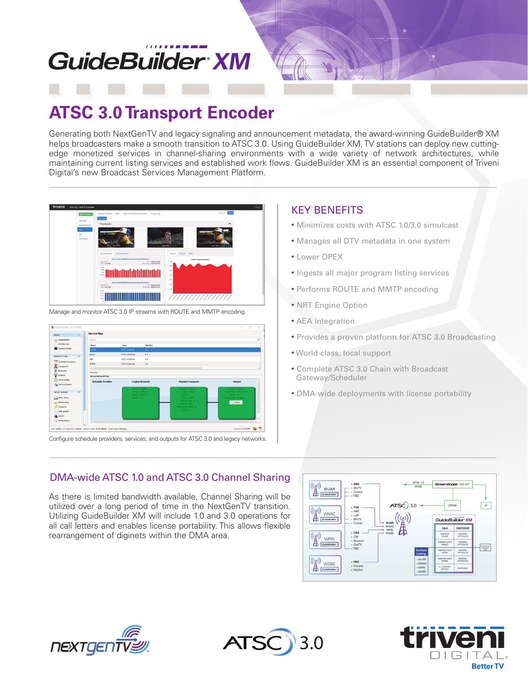# **GuideBuilder XM**

## **ATSC 3.0 Transport Encoder**

Generating both NextGenTV and legacy signaling and announcement metadata, the award-winning GuideBuilder® XM helps broadcasters make a smooth transition to ATSC 3.0. Using GuideBuilder XM, TV stations can deploy new cuttingedge monetized services in channel-sharing environments with a wide variety of network architectures, while maintaining current listing services and established work flows. GuideBuilder XM is an essential component of Triveni Digital's new Broadcast Services Management Platform.



Manage and monitor ATSC 3.0 IP streams with ROUTE and MMTP encoding.



Configure schedule providers, services, and outputs for ATSC 3.0 and legacy networks.

#### KEY BENEFITS

- Minimizes costs with ATSC 1.0/3.0 simulcast
- Manages all DTV metadata in one system
- Lower OPEX
- Ingests all major program listing services
- Performs ROUTE and MMTP encoding
- NRT Engine Option
- AEA integration
- Provides a proven platform for ATSC 3.0 Broadcasting
- World-class, local support
- Complete ATSC 3.0 Chain with Broadcast Gateway/Scheduler
- DMA-wide deployments with license portability

### DMA-wide ATSC 1.0 and ATSC 3.0 Channel Sharing

As there is limited bandwidth available, Channel Sharing will be utilized over a long period of time in the NextGenTV transition. Utilizing GuideBuilder XM will include 1.0 and 3.0 operations for all call letters and enables license portability. This allows flexible rearrangement of diginets within the DMA area.